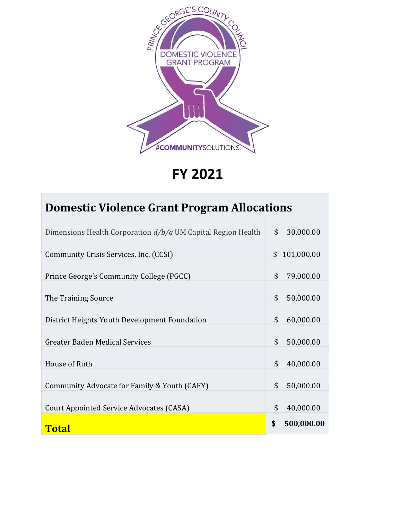

**FY 2021**

| <b>Domestic Violence Grant Program Allocations</b>             |          |                         |
|----------------------------------------------------------------|----------|-------------------------|
| Dimensions Health Corporation $d/b/a$ UM Capital Region Health | \$       | 30,000.00               |
| Community Crisis Services, Inc. (CCSI)                         |          | \$101,000.00            |
| Prince George's Community College (PGCC)                       | \$       | 79,000.00               |
| The Training Source                                            | \$       | 50,000.00               |
| District Heights Youth Development Foundation                  | \$       | 60,000.00               |
| Greater Baden Medical Services                                 | \$       | 50,000.00               |
| House of Ruth                                                  | \$       | 40,000.00               |
|                                                                | \$       |                         |
| Community Advocate for Family & Youth (CAFY)                   |          | 50,000.00               |
| Court Appointed Service Advocates (CASA)<br><b>Total</b>       | \$<br>\$ | 40,000.00<br>500,000.00 |
|                                                                |          |                         |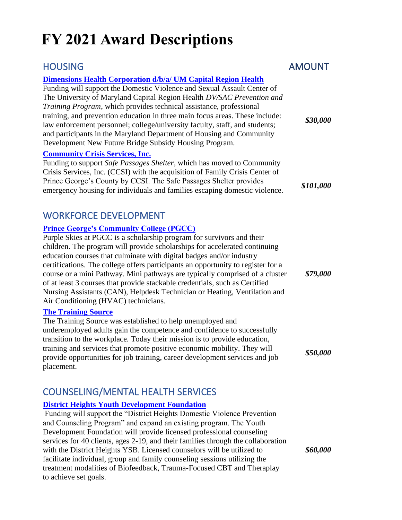# **FY 2021 Award Descriptions**

# HOUSING AMOUNT

### **[Dimensions Health Corporation d/b/a/ UM Capital Region Health](https://www.mdcsl-dpscs.org/search/?id=170804)**

Funding will support the Domestic Violence and Sexual Assault Center of The University of Maryland Capital Region Health *DV/SAC Prevention and Training Program*, which provides technical assistance, professional training, and prevention education in three main focus areas. These include: law enforcement personnel; college/university faculty, staff, and students; and participants in the Maryland Department of Housing and Community Development New Future Bridge Subsidy Housing Program.

### **[Community Crisis Services, Inc.](http://www.communitycrisis.org/)**

Funding to support *Safe Passages Shelter*, which has moved to Community Crisis Services, Inc. (CCSI) with the acquisition of Family Crisis Center of Prince George's County by CCSI. The Safe Passages Shelter provides emergency housing for individuals and families escaping domestic violence. **\$101,000**<br>emergency housing for individuals and families escaping domestic violence.

# WORKFORCE DEVELOPMENT

### **[Prince George's Community College \(PGCC\)](https://www.pgcc.edu/programs-courses/workforce-development-and-continuing-education/)**

Purple Skies at PGCC is a scholarship program for survivors and their children. The program will provide scholarships for accelerated continuing education courses that culminate with digital badges and/or industry certifications. The college offers participants an opportunity to register for a course or a mini Pathway. Mini pathways are typically comprised of a cluster of at least 3 courses that provide stackable credentials, such as Certified Nursing Assistants (CAN), Helpdesk Technician or Heating, Ventilation and Air Conditioning (HVAC) technicians.

### **[The Training Source](https://thetrainingsource.org/)**

The Training Source was established to help unemployed and underemployed adults gain the competence and confidence to successfully transition to the workplace. Today their mission is to provide education, training and services that promote positive economic mobility. They will provide opportunities for job training, career development services and job placement.

# COUNSELING/MENTAL HEALTH SERVICES

### **[District Heights Youth Development Foundation](http://www.youthdevelopment.foundation/)**

Funding will support the "District Heights Domestic Violence Prevention and Counseling Program" and expand an existing program. The Youth Development Foundation will provide licensed professional counseling services for 40 clients, ages 2-19, and their families through the collaboration with the District Heights YSB. Licensed counselors will be utilized to facilitate individual, group and family counseling sessions utilizing the treatment modalities of Biofeedback, Trauma-Focused CBT and Theraplay to achieve set goals.

*\$30,000*

*\$79,000*

*\$50,000*

*\$60,000*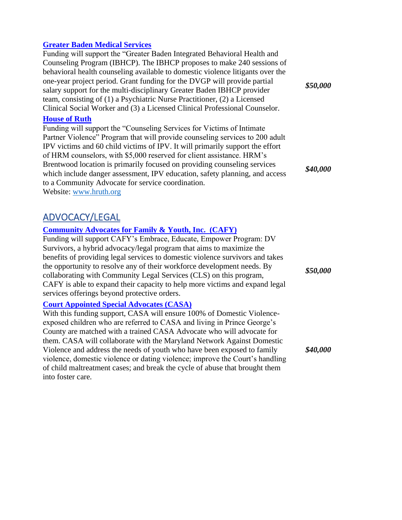#### **[Greater Baden Medical Services](http://www.gbms.org/)**

Funding will support the "Greater Baden Integrated Behavioral Health and Counseling Program (IBHCP). The IBHCP proposes to make 240 sessions of behavioral health counseling available to domestic violence litigants over the one-year project period. Grant funding for the DVGP will provide partial salary support for the multi-disciplinary Greater Baden IBHCP provider team, consisting of (1) a Psychiatric Nurse Practitioner, (2) a Licensed Clinical Social Worker and (3) a Licensed Clinical Professional Counselor.

#### **[House of Ruth](http://www.hruth.org/)**

Funding will support the "Counseling Services for Victims of Intimate Partner Violence" Program that will provide counseling services to 200 adult IPV victims and 60 child victims of IPV. It will primarily support the effort of HRM counselors, with \$5,000 reserved for client assistance. HRM's Brentwood location is primarily focused on providing counseling services which include danger assessment, IPV education, safety planning, and access to a Community Advocate for service coordination. Website: [www.hruth.org](http://www.hruth.org/)

## ADVOCACY/LEGAL

### **[Community Advocates for Family & Youth, Inc. \(CAFY\)](http://www.cafyonline.org/)**

Funding will support CAFY's Embrace, Educate, Empower Program: DV Survivors, a hybrid advocacy/legal program that aims to maximize the benefits of providing legal services to domestic violence survivors and takes the opportunity to resolve any of their workforce development needs. By collaborating with Community Legal Services (CLS) on this program, CAFY is able to expand their capacity to help more victims and expand legal services offerings beyond protective orders.

#### **[Court Appointed Special Advocates \(CASA\)](https://pgcasa.org/)**

With this funding support, CASA will ensure 100% of Domestic Violenceexposed children who are referred to CASA and living in Prince George's County are matched with a trained CASA Advocate who will advocate for them. CASA will collaborate with the Maryland Network Against Domestic Violence and address the needs of youth who have been exposed to family violence, domestic violence or dating violence; improve the Court's handling of child maltreatment cases; and break the cycle of abuse that brought them into foster care.

*\$50,000*

*\$40,000*

*\$50,000*

*\$40,000*